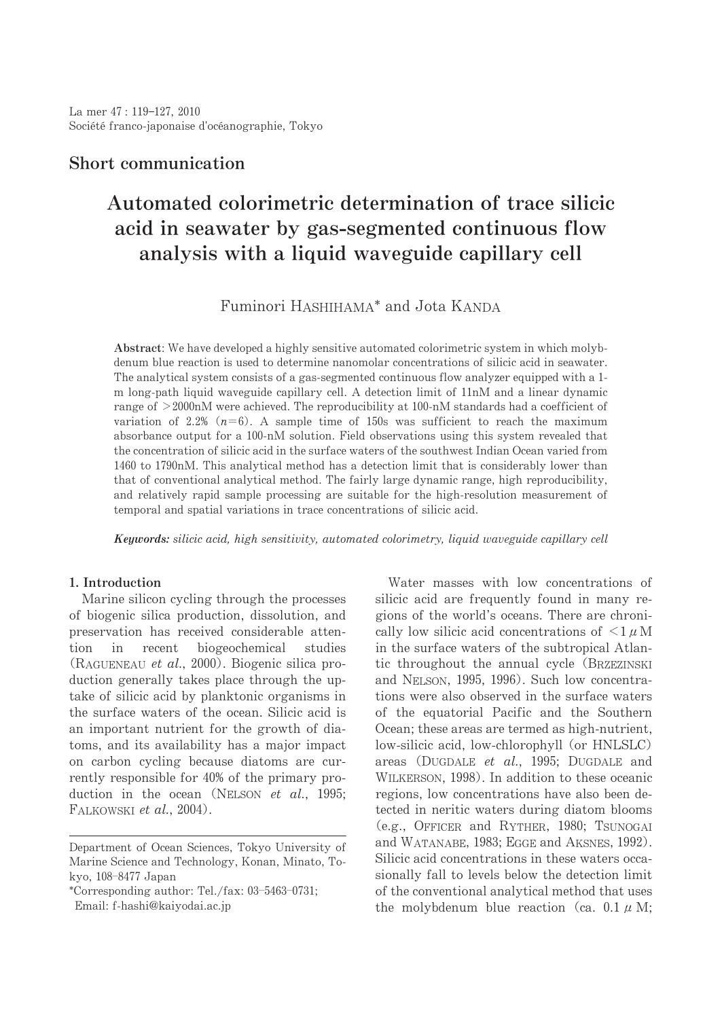# Short communication

# Automated colorimetric determination of trace silicic acid in seawater by gas-segmented continuous flow analysis with a liquid waveguide capillary cell

# Fuminori HASHIHAMA\* and Jota KANDA

Abstract: We have developed a highly sensitive automated colorimetric system in which molybdenum blue reaction is used to determine nanomolar concentrations of silicic acid in seawater. The analytical system consists of a gas-segmented continuous flow analyzer equipped with a 1m long-path liquid waveguide capillary cell. A detection limit of 11nM and a linear dynamic range of  $>$  2000nM were achieved. The reproducibility at 100-nM standards had a coefficient of variation of 2.2%  $(n=6)$ . A sample time of 150s was sufficient to reach the maximum absorbance output for a 100-nM solution. Field observations using this system revealed that the concentration of silicic acid in the surface waters of the southwest Indian Ocean varied from 1460 to 1790nM. This analytical method has a detection limit that is considerably lower than that of conventional analytical method. The fairly large dynamic range, high reproducibility, and relatively rapid sample processing are suitable for the high-resolution measurement of temporal and spatial variations in trace concentrations of silicic acid.

Keywords: silicic acid, high sensitivity, automated colorimetry, liquid waveguide capillary cell

## 1. Introduction

Marine silicon cycling through the processes of biogenic silica production, dissolution, and preservation has received considerable attention in recent biogeochemical studies (RAGUENEAU et al., 2000). Biogenic silica production generally takes place through the uptake of silicic acid by planktonic organisms in the surface waters of the ocean. Silicic acid is an important nutrient for the growth of diatoms, and its availability has a major impact on carbon cycling because diatoms are currently responsible for 40% of the primary production in the ocean (NELSON et al., 1995; FALKOWSKI et al., 2004).

Water masses with low concentrations of silicic acid are frequently found in many regions of the world's oceans. There are chronically low silicic acid concentrations of  $\leq 1 \mu$ M in the surface waters of the subtropical Atlantic throughout the annual cycle (BRZEZINSKI and NELSON, 1995, 1996). Such low concentrations were also observed in the surface waters of the equatorial Pacific and the Southern Ocean; these areas are termed as high-nutrient, low-silicic acid, low-chlorophyll (or HNLSLC) areas (DUGDALE et al., 1995; DUGDALE and WILKERSON, 1998). In addition to these oceanic regions, low concentrations have also been detected in neritic waters during diatom blooms (e.g., OFFICER and RYTHER, 1980; TSUNOGAI and WATANABE, 1983; EGGE and AKSNES, 1992). Silicic acid concentrations in these waters occasionally fall to levels below the detection limit of the conventional analytical method that uses the molybdenum blue reaction (ca. 0.1  $\mu$  M;

Department of Ocean Sciences, Tokyo University of Marine Science and Technology, Konan, Minato, Tokvo. 108-8477 Japan

<sup>\*</sup>Corresponding author: Tel./fax: 03-5463-0731; Email: f-hashi@kaiyodai.ac.jp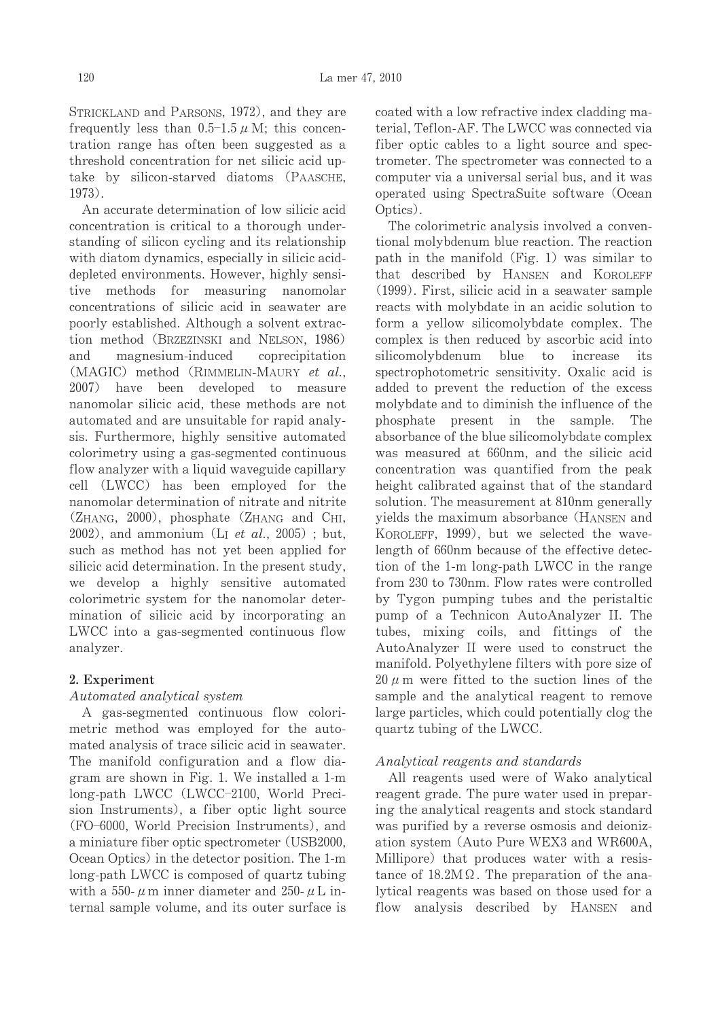STRICKLAND and PARSONS, 1972), and they are frequently less than  $0.5-1.5 \mu$  M: this concentration range has often been suggested as a threshold concentration for net silicic acid uptake by silicon-starved diatoms (PAASCHE,  $1973$ .

An accurate determination of low silicic acid concentration is critical to a thorough understanding of silicon cycling and its relationship with diatom dynamics, especially in silicic aciddepleted environments. However, highly sensitive methods for measuring nanomolar concentrations of silicic acid in seawater are poorly established. Although a solvent extraction method (BRZEZINSKI and NELSON, 1986) and magnesium-induced coprecipitation (MAGIC) method (RIMMELIN-MAURY et al., 2007) have been developed to measure nanomolar silicic acid, these methods are not automated and are unsuitable for rapid analysis. Furthermore, highly sensitive automated colorimetry using a gas-segmented continuous flow analyzer with a liquid waveguide capillary cell (LWCC) has been employed for the nanomolar determination of nitrate and nitrite  $(Z_{HANG}, 2000)$ , phosphate  $(Z_{HANG}$  and  $C_{HI}$ ,  $(2002)$ , and ammonium (L<sub>I</sub> et al., 2005); but, such as method has not yet been applied for silicic acid determination. In the present study, we develop a highly sensitive automated colorimetric system for the nanomolar determination of silicic acid by incorporating an LWCC into a gas-segmented continuous flow analyzer.

## 2. Experiment

## Automated analytical system

A gas-segmented continuous flow colorimetric method was employed for the automated analysis of trace silicic acid in seawater. The manifold configuration and a flow diagram are shown in Fig. 1. We installed a 1-m long-path LWCC (LWCC-2100, World Precision Instruments), a fiber optic light source (FO-6000, World Precision Instruments), and a miniature fiber optic spectrometer (USB2000, Ocean Optics) in the detector position. The 1-m long-path LWCC is composed of quartz tubing with a 550- $\mu$ m inner diameter and 250- $\mu$ L internal sample volume, and its outer surface is

coated with a low refractive index cladding material. Teflon-AF. The LWCC was connected via fiber optic cables to a light source and spectrometer. The spectrometer was connected to a computer via a universal serial bus, and it was operated using SpectraSuite software (Ocean Optics).

The colorimetric analysis involved a conventional molybdenum blue reaction. The reaction path in the manifold  $(Fig. 1)$  was similar to that described by HANSEN and KOROLEFF (1999). First, silicic acid in a seawater sample reacts with molybdate in an acidic solution to form a yellow silicomolybdate complex. The complex is then reduced by ascorbic acid into silicomolybdenum blue to increase its spectrophotometric sensitivity. Oxalic acid is added to prevent the reduction of the excess molybdate and to diminish the influence of the phosphate present in the sample. The absorbance of the blue silicomolybdate complex was measured at 660nm, and the silicic acid concentration was quantified from the peak height calibrated against that of the standard solution. The measurement at 810nm generally yields the maximum absorbance (HANSEN and KOROLEFF, 1999), but we selected the wavelength of 660nm because of the effective detection of the 1-m long-path LWCC in the range from 230 to 730nm. Flow rates were controlled by Tygon pumping tubes and the peristaltic pump of a Technicon AutoAnalyzer II. The tubes, mixing coils, and fittings of the AutoAnalyzer II were used to construct the manifold. Polyethylene filters with pore size of  $20 \mu$  m were fitted to the suction lines of the sample and the analytical reagent to remove large particles, which could potentially clog the quartz tubing of the LWCC.

## Analytical reagents and standards

All reagents used were of Wako analytical reagent grade. The pure water used in preparing the analytical reagents and stock standard was purified by a reverse osmosis and deionization system (Auto Pure WEX3 and WR600A, Millipore) that produces water with a resistance of  $18.2M\Omega$ . The preparation of the analytical reagents was based on those used for a flow analysis described by HANSEN and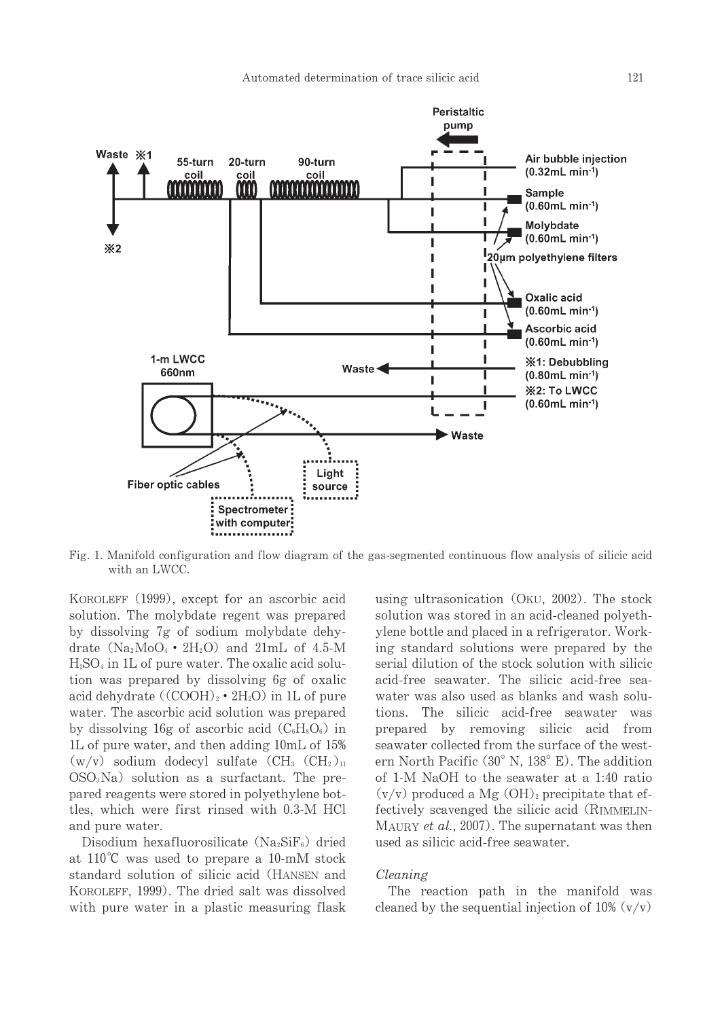

Fig. 1. Manifold configuration and flow diagram of the gas-segmented continuous flow analysis of silicic acid with an LWCC.

KOROLEFF (1999), except for an ascorbic acid solution. The molybdate regent was prepared by dissolving 7g of sodium molybdate dehydrate  $(Na_2MO_4 \cdot 2H_2O)$  and  $21mL$  of 4.5-M  $H<sub>2</sub>SO<sub>4</sub>$  in 1L of pure water. The oxalic acid solution was prepared by dissolving 6g of oxalic acid dehydrate  $((COOH)_{2} \cdot 2H_{2}O)$  in 1L of pure water. The ascorbic acid solution was prepared by dissolving 16g of ascorbic acid  $(C_6H_8O_6)$  in 1L of pure water, and then adding 10mL of 15%  $(w/v)$  sodium dodecyl sulfate  $(CH_3$   $(CH_2)_{11}$  $OSO<sub>3</sub>Na$ ) solution as a surfactant. The prepared reagents were stored in polyethylene bottles, which were first rinsed with 0.3-M HCl and pure water.

Disodium hexafluorosilicate  $(Na_2SiF_6)$  dried at  $110^{\circ}$ C was used to prepare a 10-mM stock standard solution of silicic acid (HANSEN and KOROLEFF, 1999). The dried salt was dissolved with pure water in a plastic measuring flask using ultrasonication (OKU, 2002). The stock solution was stored in an acid-cleaned polyethylene bottle and placed in a refrigerator. Working standard solutions were prepared by the serial dilution of the stock solution with silicic acid-free seawater. The silicic acid-free seawater was also used as blanks and wash solutions. The silicic acid-free seawater was prepared by removing silicic acid from seawater collected from the surface of the western North Pacific (30° N, 138° E). The addition of 1-M NaOH to the seawater at a 1:40 ratio  $(v/v)$  produced a Mg  $(OH)_2$  precipitate that effectively scavenged the silicic acid (RIMMELIN-MAURY et al., 2007). The supernatant was then used as silicic acid-free seawater.

#### Cleaning

The reaction path in the manifold was cleaned by the sequential injection of 10%  $(v/v)$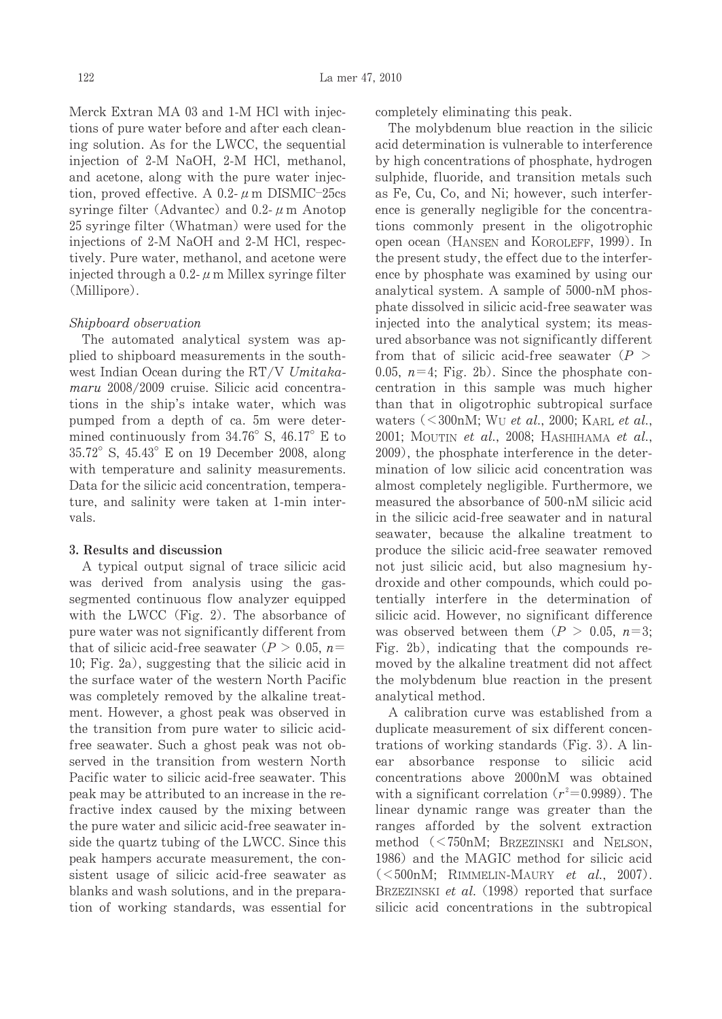Merck Extran MA 03 and 1-M HCl with injections of pure water before and after each cleaning solution. As for the LWCC, the sequential injection of 2-M NaOH, 2-M HCl, methanol, and acetone, along with the pure water injection, proved effective. A 0.2- $\mu$  m DISMIC-25cs syringe filter (Advantec) and 0.2- $\mu$  m Anotop 25 syringe filter (Whatman) were used for the injections of 2-M NaOH and 2-M HCl, respectively. Pure water, methanol, and acetone were injected through a 0.2- $\mu$  m Millex syringe filter (Millipore).

### Shipboard observation

The automated analytical system was applied to shipboard measurements in the southwest Indian Ocean during the RT/V Umitakamaru 2008/2009 cruise. Silicic acid concentrations in the ship's intake water, which was pumped from a depth of ca. 5m were determined continuously from  $34.76^{\circ}$  S,  $46.17^{\circ}$  E to 35.72° S, 45.43° E on 19 December 2008, along with temperature and salinity measurements. Data for the silicic acid concentration, temperature, and salinity were taken at 1-min intervals.

#### 3. Results and discussion

A typical output signal of trace silicic acid was derived from analysis using the gassegmented continuous flow analyzer equipped with the LWCC (Fig. 2). The absorbance of pure water was not significantly different from that of silicic acid-free seawater ( $P > 0.05$ ,  $n =$ 10; Fig. 2a), suggesting that the silicic acid in the surface water of the western North Pacific was completely removed by the alkaline treatment. However, a ghost peak was observed in the transition from pure water to silicic acidfree seawater. Such a ghost peak was not observed in the transition from western North Pacific water to silicic acid-free seawater. This peak may be attributed to an increase in the refractive index caused by the mixing between the pure water and silicic acid-free seawater inside the quartz tubing of the LWCC. Since this peak hampers accurate measurement, the consistent usage of silicic acid-free seawater as blanks and wash solutions, and in the preparation of working standards, was essential for completely eliminating this peak.

The molybdenum blue reaction in the silicic acid determination is vulnerable to interference by high concentrations of phosphate, hydrogen sulphide, fluoride, and transition metals such as Fe, Cu, Co, and Ni; however, such interference is generally negligible for the concentrations commonly present in the oligotrophic open ocean (HANSEN and KOROLEFF, 1999). In the present study, the effect due to the interference by phosphate was examined by using our analytical system. A sample of 5000-nM phosphate dissolved in silicic acid-free seawater was injected into the analytical system; its measured absorbance was not significantly different from that of silicic acid-free seawater ( $P >$ 0.05,  $n=4$ ; Fig. 2b). Since the phosphate concentration in this sample was much higher than that in oligotrophic subtropical surface waters  $\langle \langle 300nM; W_U \text{ et } al., 2000; KARL \text{ et } al., \rangle$ 2001; MOUTIN et al., 2008; HASHIHAMA et al., 2009), the phosphate interference in the determination of low silicic acid concentration was almost completely negligible. Furthermore, we measured the absorbance of 500-nM silicic acid in the silicic acid-free seawater and in natural seawater, because the alkaline treatment to produce the silicic acid-free seawater removed not just silicic acid, but also magnesium hydroxide and other compounds, which could potentially interfere in the determination of silicic acid. However, no significant difference was observed between them  $(P > 0.05, n=3;$ Fig. 2b), indicating that the compounds removed by the alkaline treatment did not affect the molybdenum blue reaction in the present analytical method.

A calibration curve was established from a duplicate measurement of six different concentrations of working standards (Fig. 3). A linabsorbance response to silicic acid ear concentrations above 2000nM was obtained with a significant correlation  $(r^2=0.9989)$ . The linear dynamic range was greater than the ranges afforded by the solvent extraction method  $(< 750nM$ ; BRZEZINSKI and NELSON, 1986) and the MAGIC method for silicic acid  $(<500nM$ ; RIMMELIN-MAURY et al., 2007). BRZEZINSKI et al. (1998) reported that surface silicic acid concentrations in the subtropical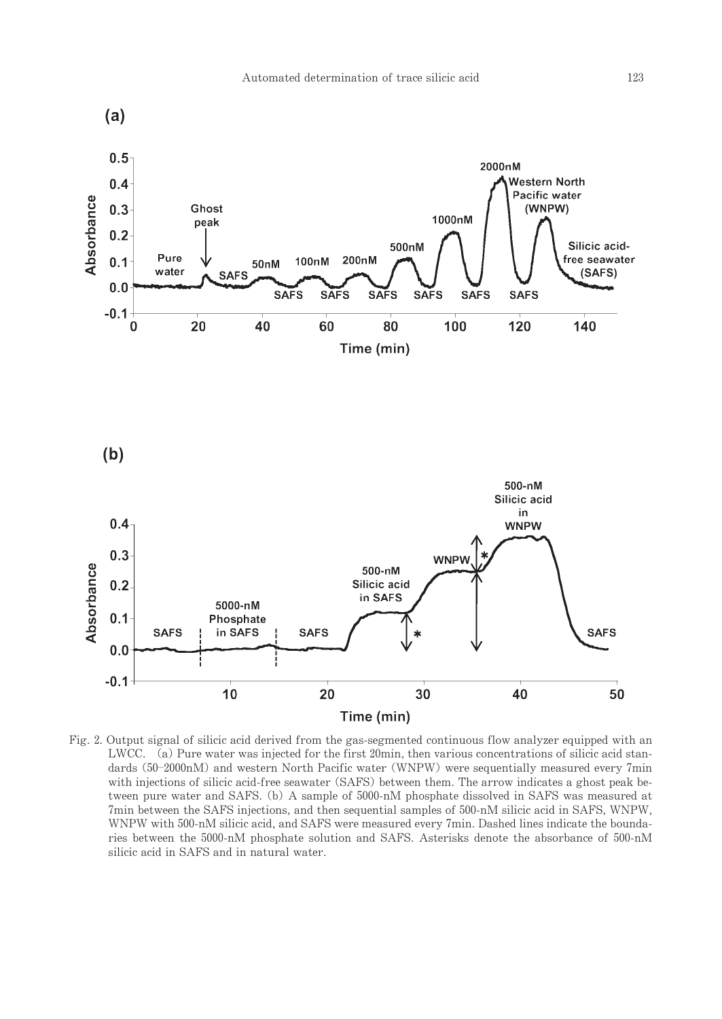

Fig. 2. Output signal of silicic acid derived from the gas-segmented continuous flow analyzer equipped with an LWCC. (a) Pure water was injected for the first 20min, then various concentrations of silicic acid standards (50-2000nM) and western North Pacific water (WNPW) were sequentially measured every 7min with injections of silicic acid-free seawater (SAFS) between them. The arrow indicates a ghost peak between pure water and SAFS. (b) A sample of 5000-nM phosphate dissolved in SAFS was measured at 7min between the SAFS injections, and then sequential samples of 500-nM silicic acid in SAFS, WNPW, WNPW with 500-nM silicic acid, and SAFS were measured every 7min. Dashed lines indicate the boundaries between the 5000-nM phosphate solution and SAFS. Asterisks denote the absorbance of 500-nM silicic acid in SAFS and in natural water.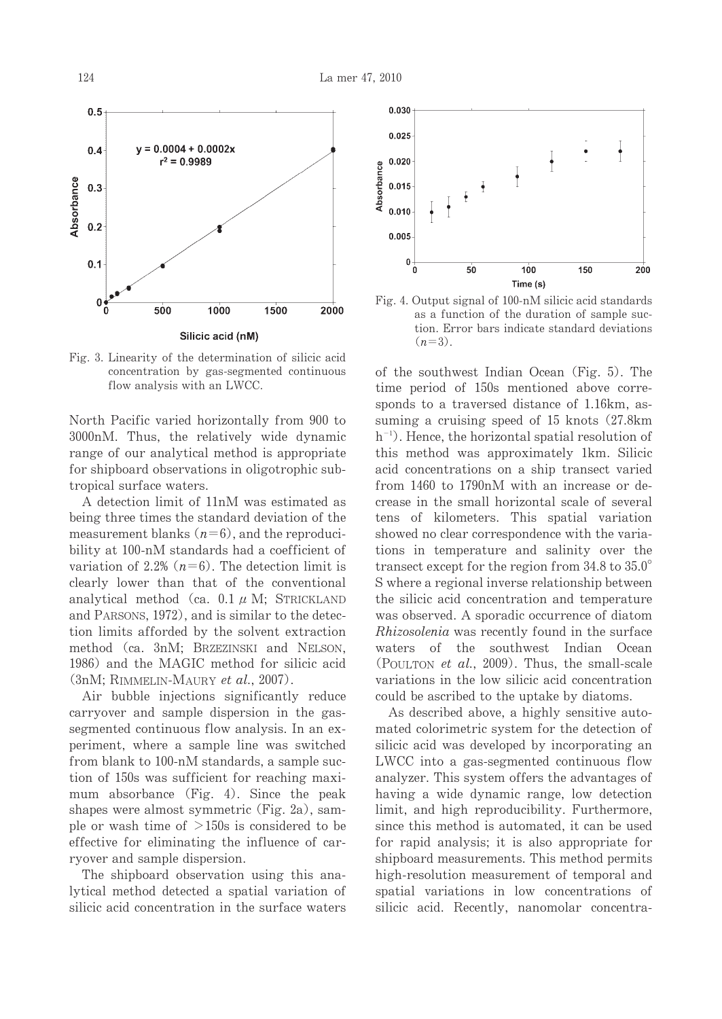

Fig. 3. Linearity of the determination of silicic acid concentration by gas-segmented continuous flow analysis with an LWCC.

North Pacific varied horizontally from 900 to 3000nM. Thus, the relatively wide dynamic range of our analytical method is appropriate for shipboard observations in oligotrophic subtropical surface waters.

A detection limit of 11nM was estimated as being three times the standard deviation of the measurement blanks  $(n=6)$ , and the reproducibility at 100-nM standards had a coefficient of variation of 2.2%  $(n=6)$ . The detection limit is clearly lower than that of the conventional analytical method (ca.  $0.1 \mu$  M; STRICKLAND and PARSONS, 1972), and is similar to the detection limits afforded by the solvent extraction method (ca. 3nM: BRZEZINSKI and NELSON. 1986) and the MAGIC method for silicic acid  $(3nM; RIMMELIN-MAURY et al., 2007).$ 

Air bubble injections significantly reduce carryover and sample dispersion in the gassegmented continuous flow analysis. In an experiment, where a sample line was switched from blank to 100-nM standards, a sample suction of 150s was sufficient for reaching maximum absorbance (Fig. 4). Since the peak shapes were almost symmetric (Fig. 2a), sample or wash time of  $>150$ s is considered to be effective for eliminating the influence of carryover and sample dispersion.

The shipboard observation using this analytical method detected a spatial variation of silicic acid concentration in the surface waters



Fig. 4. Output signal of 100-nM silicic acid standards as a function of the duration of sample suction. Error bars indicate standard deviations  $(n=3)$ .

of the southwest Indian Ocean (Fig. 5). The time period of 150s mentioned above corresponds to a traversed distance of 1.16km, assuming a cruising speed of 15 knots (27.8km)  $h^{-1}$ ). Hence, the horizontal spatial resolution of this method was approximately 1km. Silicic acid concentrations on a ship transect varied from 1460 to 1790nM with an increase or decrease in the small horizontal scale of several tens of kilometers. This spatial variation showed no clear correspondence with the variations in temperature and salinity over the transect except for the region from  $34.8$  to  $35.0^{\circ}$ S where a regional inverse relationship between the silicic acid concentration and temperature was observed. A sporadic occurrence of diatom Rhizosolenia was recently found in the surface waters of the southwest Indian Ocean (POULTON et al., 2009). Thus, the small-scale variations in the low silicic acid concentration could be ascribed to the uptake by diatoms.

As described above, a highly sensitive automated colorimetric system for the detection of silicic acid was developed by incorporating an LWCC into a gas-segmented continuous flow analyzer. This system offers the advantages of having a wide dynamic range, low detection limit, and high reproducibility. Furthermore, since this method is automated, it can be used for rapid analysis; it is also appropriate for shipboard measurements. This method permits high-resolution measurement of temporal and spatial variations in low concentrations of silicic acid. Recently, nanomolar concentra-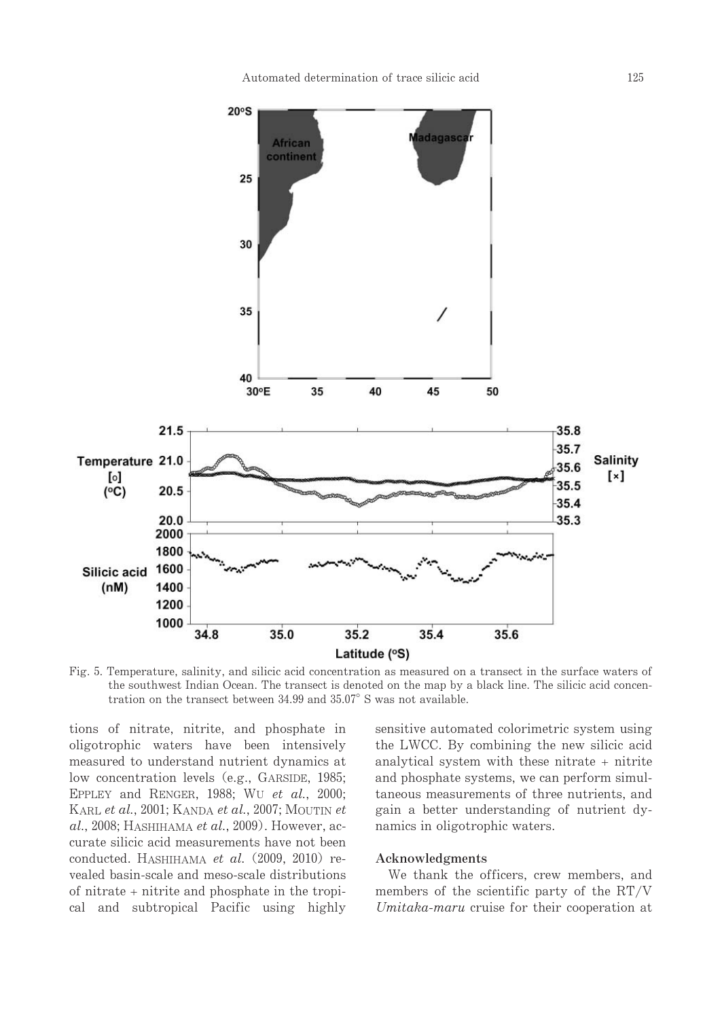

Fig. 5. Temperature, salinity, and silicic acid concentration as measured on a transect in the surface waters of the southwest Indian Ocean. The transect is denoted on the map by a black line. The silicic acid concentration on the transect between 34.99 and 35.07° S was not available.

tions of nitrate, nitrite, and phosphate in oligotrophic waters have been intensively measured to understand nutrient dynamics at low concentration levels (e.g., GARSIDE, 1985; EPPLEY and RENGER, 1988; WU et al., 2000; KARL et al., 2001; KANDA et al., 2007; MOUTIN et  $al.$ , 2008; HASHIHAMA et al., 2009). However, accurate silicic acid measurements have not been conducted. HASHIHAMA et al. (2009, 2010) revealed basin-scale and meso-scale distributions of nitrate + nitrite and phosphate in the tropical and subtropical Pacific using highly sensitive automated colorimetric system using the LWCC. By combining the new silicic acid analytical system with these nitrate + nitrite and phosphate systems, we can perform simultaneous measurements of three nutrients, and gain a better understanding of nutrient dynamics in oligotrophic waters.

#### Acknowledgments

We thank the officers, crew members, and members of the scientific party of the RT/V Umitaka-maru cruise for their cooperation at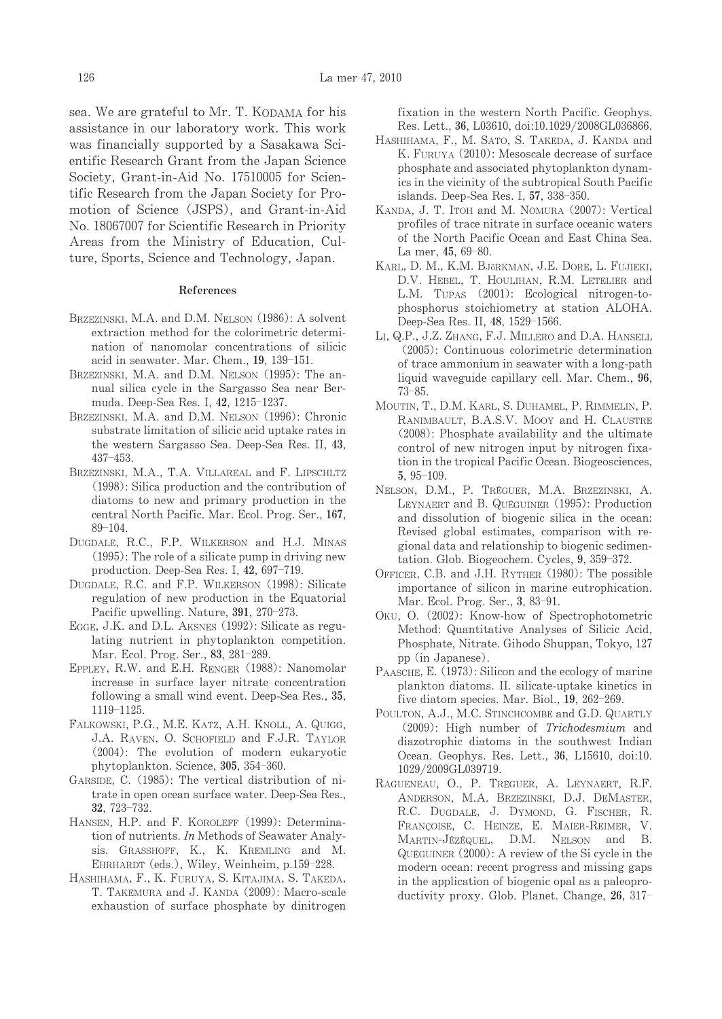sea. We are grateful to Mr. T. KODAMA for his assistance in our laboratory work. This work was financially supported by a Sasakawa Scientific Research Grant from the Japan Science Society, Grant-in-Aid No. 17510005 for Scientific Research from the Japan Society for Promotion of Science (JSPS), and Grant-in-Aid No. 18067007 for Scientific Research in Priority Areas from the Ministry of Education, Culture, Sports, Science and Technology, Japan.

#### **References**

- BRZEZINSKI, M.A. and D.M. NELSON (1986): A solvent extraction method for the colorimetric determination of nanomolar concentrations of silicic acid in seawater. Mar. Chem., 19, 139-151.
- BRZEZINSKI, M.A. and D.M. NELSON (1995): The annual silica cycle in the Sargasso Sea near Bermuda. Deep-Sea Res. I, 42, 1215-1237.
- BRZEZINSKI, M.A. and D.M. NELSON (1996): Chronic substrate limitation of silicic acid uptake rates in the western Sargasso Sea. Deep-Sea Res. II, 43,  $437 - 453$
- BRZEZINSKI, M.A., T.A. VILLAREAL and F. LIPSCHLTZ  $(1998)$ : Silica production and the contribution of diatoms to new and primary production in the central North Pacific. Mar. Ecol. Prog. Ser., 167,  $89 - 104$
- DUGDALE, R.C., F.P. WILKERSON and H.J. MINAS  $(1995)$ : The role of a silicate pump in driving new production. Deep-Sea Res. I, 42, 697-719.
- DUGDALE, R.C. and F.P. WILKERSON (1998): Silicate regulation of new production in the Equatorial Pacific upwelling. Nature, 391, 270-273.
- EGGE, J.K. and D.L. AKSNES (1992): Silicate as regulating nutrient in phytoplankton competition. Mar. Ecol. Prog. Ser., 83, 281-289.
- EPPLEY, R.W. and E.H. RENGER (1988): Nanomolar increase in surface layer nitrate concentration following a small wind event. Deep-Sea Res., 35, 1119-1125.
- FALKOWSKI, P.G., M.E. KATZ, A.H. KNOLL, A. QUIGG, J.A. RAVEN, O. SCHOFIELD and F.J.R. TAYLOR (2004): The evolution of modern eukaryotic phytoplankton. Science, 305, 354-360.
- GARSIDE, C. (1985): The vertical distribution of nitrate in open ocean surface water. Deep-Sea Res., 32. 723-732.
- HANSEN, H.P. and F. KOROLEFF (1999): Determination of nutrients. In Methods of Seawater Analysis. GRASSHOFF, K., K. KREMLING and M. EHRHARDT (eds.), Wiley, Weinheim, p.159-228.
- HASHIHAMA, F., K. FURUYA, S. KITAJIMA, S. TAKEDA, T. TAKEMURA and J. KANDA (2009): Macro-scale exhaustion of surface phosphate by dinitrogen

fixation in the western North Pacific, Geophys. Res. Lett., 36, L03610, doi:10.1029/2008GL036866.

- HASHIHAMA, F., M. SATO, S. TAKEDA, J. KANDA and K. FURUYA (2010): Mesoscale decrease of surface phosphate and associated phytoplankton dynamics in the vicinity of the subtropical South Pacific islands. Deep-Sea Res. I, 57, 338-350.
- KANDA, J. T. ITOH and M. NOMURA (2007): Vertical profiles of trace nitrate in surface oceanic waters of the North Pacific Ocean and East China Sea. La mer, 45, 69-80.
- KARL, D. M., K.M. BJÖRKMAN, J.E. DORE, L. FUJIEKI, D.V. HEBEL, T. HOULIHAN, R.M. LETELIER and L.M. TUPAS (2001): Ecological nitrogen-tophosphorus stoichiometry at station ALOHA. Deep-Sea Res. II, 48, 1529-1566.
- LI, Q.P., J.Z. ZHANG, F.J. MILLERO and D.A. HANSELL (2005): Continuous colorimetric determination of trace ammonium in seawater with a long-path liquid waveguide capillary cell. Mar. Chem., 96,  $73 - 85.$
- MOUTIN, T., D.M. KARL, S. DUHAMEL, P. RIMMELIN, P. RANIMBAULT, B.A.S.V. MOOY and H. CLAUSTRE (2008): Phosphate availability and the ultimate control of new nitrogen input by nitrogen fixation in the tropical Pacific Ocean. Biogeosciences,  $5.95-109.$
- NELSON, D.M., P. TRÉGUER, M.A. BRZEZINSKI, A. LEYNAERT and B. QUÉGUINER (1995): Production and dissolution of biogenic silica in the ocean: Revised global estimates, comparison with regional data and relationship to biogenic sedimentation. Glob. Biogeochem. Cycles, 9, 359-372.
- OFFICER, C.B. and J.H. RYTHER (1980): The possible importance of silicon in marine eutrophication. Mar. Ecol. Prog. Ser., 3, 83-91.
- OKU, O. (2002): Know-how of Spectrophotometric Method: Quantitative Analyses of Silicic Acid, Phosphate, Nitrate. Gihodo Shuppan, Tokyo, 127 pp (in Japanese).
- PAASCHE, E. (1973): Silicon and the ecology of marine plankton diatoms. II. silicate-uptake kinetics in five diatom species. Mar. Biol., 19, 262-269.
- POULTON, A.J., M.C. STINCHCOMBE and G.D. QUARTLY (2009): High number of Trichodesmium and diazotrophic diatoms in the southwest Indian Ocean. Geophys. Res. Lett., 36, L15610, doi:10. 1029/2009GL039719.
- RAGUENEAU, O., P. TRÉGUER, A. LEYNAERT, R.F. ANDERSON, M.A. BRZEZINSKI, D.J. DEMASTER, R.C. DUGDALE, J. DYMOND, G. FISCHER, R. FRANÇOISE, C. HEINZE, E. MAIER-REIMER, V. MARTIN-JÉZÉQUEL, D.M. NELSON and B. QUÉGUINER (2000): A review of the Si cycle in the modern ocean: recent progress and missing gaps in the application of biogenic opal as a paleoproductivity proxy. Glob. Planet. Change, 26, 317-